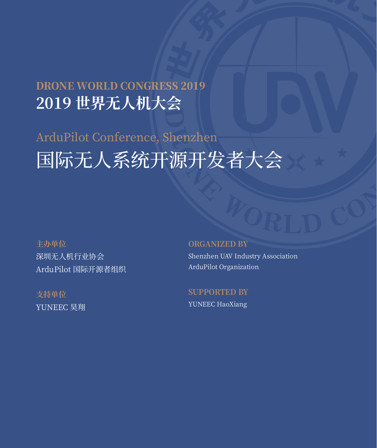## DRONE WORLD CONGRESS 2019 **2019 世界无人机大会**

# ArduPilot Conference, Shenzhen 国际无人系统开源开发者大会

**主办单位** 深圳无人机行业协会 ArduPilot 国际开源者组织

**支持单位** YUNEEC 昊翔

## **ORGANIZED BY**

Shenzhen UAV Industry Association ArduPilot Organization

**Supported BY** YUNEEC HaoXiang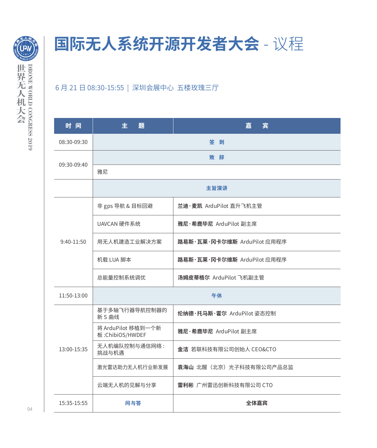

## **国际无人系统开源开发者大会** - 议程

## 6 月 21 日 08:30-15:55 | 深圳会展中心 五楼玫瑰三厅

| 时间           | 主<br>颙                                | 嘉<br>宴                      |
|--------------|---------------------------------------|-----------------------------|
| 08:30-09:30  | 签 到                                   |                             |
| 09:30-09:40  |                                       | 致辞                          |
|              | 雅尼                                    |                             |
|              | 主旨演讲                                  |                             |
| $9:40-11:50$ | 非 gps 导航 & 目标回避                       | 兰迪·麦凯 ArduPilot 直升飞机主管      |
|              | UAVCAN 硬件系统                           | 雅尼·希鹿毕尼 ArduPilot 副主席       |
|              | 用无人机建造工业解决方案                          | 路易斯・瓦莱・冈卡尔维斯 ArduPilot 应用程序 |
|              | 机载 LUA 脚本                             | 路易斯·瓦莱·冈卡尔维斯 ArduPilot 应用程序 |
|              | 总能量控制系统调优                             | 汤姆皮蒂格尔 ArduPilot 飞机副主管      |
| 11:50-13:00  | 午休                                    |                             |
| 13:00-15:35  | 基于多轴飞行器导航控制器的<br>新 S 曲线               | 伦纳德・托马斯・霍尔 ArduPilot 姿态控制   |
|              | 将 ArduPilot 移植到一个新<br>板:ChibiOS/HWDEF | 雅尼·希鹿毕尼 ArduPilot 副主席       |
|              | 无人机编队控制与通信网络:<br>挑战与机遇                | 金洁 若联科技有限公司创始人 CEO&CTO      |
|              | 激光雷达助力无人机行业新发展                        | 袁海山 北醒 (北京) 光子科技有限公司产品总监    |
|              | 云端无人机的见解与分享                           | 雷利彬 广州雷迅创新科技有限公司 CTO        |
| 15:35-15:55  | 问与答                                   | 全体嘉宾                        |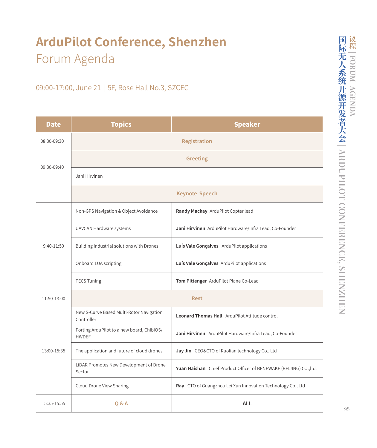## **ArduPilot Conference, Shenzhen** Forum Agenda

## 09:00-17:00, June 21 | 5F, Rose Hall No.3, SZCEC

| <b>Date</b>  | <b>Topics</b>                                              | <b>Speaker</b>                                                     |  |  |
|--------------|------------------------------------------------------------|--------------------------------------------------------------------|--|--|
| 08:30-09:30  | <b>Registration</b>                                        |                                                                    |  |  |
| 09:30-09:40  | <b>Greeting</b>                                            |                                                                    |  |  |
|              | Jani Hirvinen                                              |                                                                    |  |  |
|              | <b>Keynote Speech</b>                                      |                                                                    |  |  |
| $9:40-11:50$ | Non-GPS Navigation & Object Avoidance                      | Randy Mackay ArduPilot Copter lead                                 |  |  |
|              | UAVCAN Hardware systems                                    | Jani Hirvinen ArduPilot Hardware/Infra Lead, Co-Founder            |  |  |
|              | Building industrial solutions with Drones                  | Luís Vale Gonçalves ArduPilot applications                         |  |  |
|              | Onboard LUA scripting                                      | Luís Vale Gonçalves ArduPilot applications                         |  |  |
|              | <b>TECS Tuning</b>                                         | Tom Pittenger ArduPilot Plane Co-Lead                              |  |  |
| 11:50-13:00  | <b>Rest</b>                                                |                                                                    |  |  |
| 13:00-15:35  | New S-Curve Based Multi-Rotor Navigation<br>Controller     | <b>Leonard Thomas Hall</b> ArduPilot Attitude control              |  |  |
|              | Porting ArduPilot to a new board, ChibiOS/<br><b>HWDEF</b> | Jani Hirvinen ArduPilot Hardware/Infra Lead, Co-Founder            |  |  |
|              | The application and future of cloud drones                 | Jay Jin CEO&CTO of Ruolian technology Co., Ltd                     |  |  |
|              | LiDAR Promotes New Development of Drone<br>Sector          | Yuan Haishan Chief Product Officer of BENEWAKE (BEIJING) CO., ltd. |  |  |
|              | Cloud Drone View Sharing                                   | Ray CTO of Guangzhou Lei Xun Innovation Technology Co., Ltd        |  |  |
| 15:35-15:55  | Q&A                                                        | <b>ALL</b>                                                         |  |  |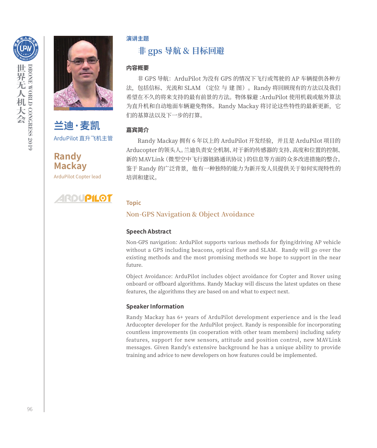



**兰迪·麦凯** ArduPilot 直升飞机主管

**Randy Mackay** ArduPilot Copter lead

#### **演讲主题**

## **非 gps 导航 & 目标回避**

#### **内容概要**

非 GPS 导航: ArduPilot 为没有 GPS 的情况下飞行或驾驶的 AP 车辆提供各种方 法,包括信标、光流和 SLAM (定位 与 建 图)。Randy 将回顾现有的方法以及我们 希望在不久的将来支持的最有前景的方法。物体躲避 :ArduPilot 使用机载或舷外算法 为直升机和自动地面车辆避免物体。Randy Mackay 将讨论这些特性的最新更新,它 们的基算法以及下一步的打算。

#### **嘉宾简介**

Randy Mackay 拥有 6 年以上的 ArduPilot 开发经验,并且是 ArduPilot 项目的 Arducopter 的领头人。兰迪负责安全机制、对于新的传感器的支持、高度和位置的控制、 新的 MAVLink(微型空中飞行器链路通讯协议 ) 的信息等方面的众多改进措施的整合。 鉴于 Randy 的广泛背景, 他有一种独特的能力为新开发人员提供关于如何实现特性的 培训和建议。

#### **ARDUPILOT Topic**

#### **Non-GPS Navigation & Object Avoidance**

#### **Speech Abstract**

Non-GPS navigation: ArduPilot supports various methods for flying/driving AP vehicle without a GPS including beacons, optical flow and SLAM. Randy will go over the existing methods and the most promising methods we hope to support in the near future.

Object Avoidance: ArduPilot includes object avoidance for Copter and Rover using onboard or offboard algorithms. Randy Mackay will discuss the latest updates on these features, the algorithms they are based on and what to expect next.

#### **Speaker Information**

Randy Mackay has 6+ years of ArduPilot development experience and is the lead Arducopter developer for the ArduPilot project. Randy is responsible for incorporating countless improvements (in cooperation with other team members) including safety features, support for new sensors, attitude and position control, new MAVLink messages. Given Randy's extensive background he has a unique ability to provide training and advice to new developers on how features could be implemented.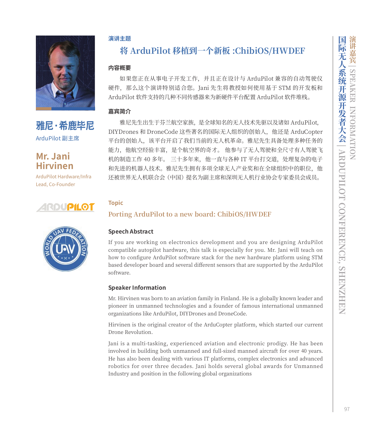

## **雅尼·希鹿毕尼** ArduPilot 副主席

## **Mr. Jani Hirvinen**

ArduPilot Hardware/Infra Lead, Co-Founder

## RDUPILO



#### **演讲主题**

## **将 ArduPilot 移植到一个新板 :ChibiOS/HWDEF**

#### **内容概要**

如果您正在从事电子开发工作,并且正在设计与 ArduPilot 兼容的自动驾驶仪 硬件, 那么这个演讲特别适合您。Jani 先生将教授如何使用基于 STM 的开发板和 ArduPilot 软件支持的几种不同传感器来为新硬件平台配置 ArduPilot 软件堆栈。

#### **嘉宾简介**

雅尼先生出生于芬兰航空家族,是全球知名的无人技术先驱以及诸如 ArduPilot, DIYDrones 和 DroneCode 这些著名的国际无人组织的创始人, 他还是 ArduCopter 平台的创始人,该平台开启了我们当前的无人机革命。雅尼先生具备处理多种任务的 能力,他航空经验丰富,是个航空界的奇才。 他参与了无人驾驶和全尺寸有人驾驶飞 机的制造工作 40 多年。 三十多年来, 他一直与各种 IT 平台打交道, 处理复杂的电子 和先进的机器人技术。雅尼先生拥有多项全球无人产业奖和在全球组织中的职位,他 还被世界无人机联合会(中国)提名为副主席和深圳无人机行业协会专家委员会成员。

#### **Topic**

#### **Porting ArduPilot to a new board: ChibiOS/HWDEF**

#### **Speech Abstract**

If you are working on electronics development and you are designing ArduPilot compatible autopilot hardware, this talk is especially for you. Mr. Jani will teach on how to configure ArduPilot software stack for the new hardware platform using STM based developer board and several different sensors that are supported by the ArduPilot software.

#### **Speaker Information**

Mr. Hirvinen was born to an aviation family in Finland. He is a globally known leader and pioneer in unmanned technologies and a founder of famous international unmanned organizations like ArduPilot, DIYDrones and DroneCode.

Hirvinen is the original creator of the ArduCopter platform, which started our current Drone Revolution.

Jani is a multi-tasking, experienced aviation and electronic prodigy. He has been involved in building both unmanned and full-sized manned aircraft for over 40 years. He has also been dealing with various IT platforms, complex electronics and advanced robotics for over three decades. Jani holds several global awards for Unmanned Industry and position in the following global organizations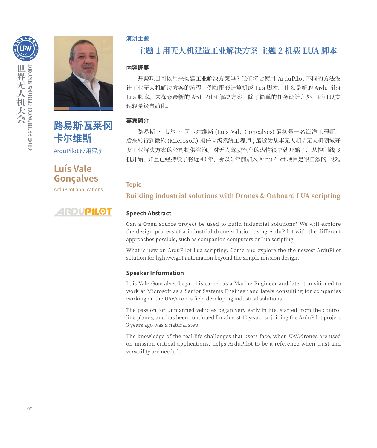



**路易斯·瓦莱·冈 卡尔维斯** ArduPilot 应用程序

**Luís Vale Gonçalves**

ArduPilot applications



#### **演讲主题**

## **主题 1 用无人机建造工业解决方案 主题 2 机载 LUA 脚本**

#### **内容概要**

开源项目可以用来构建工业解决方案吗 ? 我们将会使用 ArduPilot 不同的方法设 计工业无人机解决方案的流程,例如配套计算机或 Lua 脚本。什么是新的 ArduPilot Lua 脚本。来探索最新的 ArduPilot 解决方案,除了简单的任务设计之外,还可以实 现轻量级自动化。

#### **嘉宾简介**

路易斯 • 韦尔 • 冈卡尔维斯 (Luis Vale Goncalves) 最初是一名海洋工程师, 后来转行到微软 (Microsoft) 担任高级系统工程师 , 最近为从事无人机 / 无人机领域开 发工业解决方案的公司提供咨询。对无人驾驶汽车的热情很早就开始了,从控制线飞 机开始,并且已经持续了将近 40 年, 所以 3 年前加入 ArduPilot 项目是很自然的一步。

#### **Topic**

**Building industrial solutions with Drones & Onboard LUA scripting**

#### **Speech Abstract**

Can a Open source project be used to build industrial solutions? We will explore the design process of a industrial drone solution using ArduPilot with the different approaches possible, such as companion computers or Lua scripting.

What is new on ArduPilot Lua scripting. Come and explore the the newest ArduPilot solution for lightweight automation beyond the simple mission design.

#### **Speaker Information**

Luis Vale Gonçalves began his career as a Marine Engineer and later transitioned to work at Microsoft as a Senior Systems Engineer and lately consulting for companies working on the UAV/drones field developing industrial solutions.

The passion for unmanned vehicles began very early in life, started from the control line planes, and has been continued for almost 40 years, so joining the ArduPilot project 3 years ago was a natural step.

The knowledge of the real-life challenges that users face, when UAV/drones are used on mission-critical applications, helps ArduPilot to be a reference when trust and versatility are needed.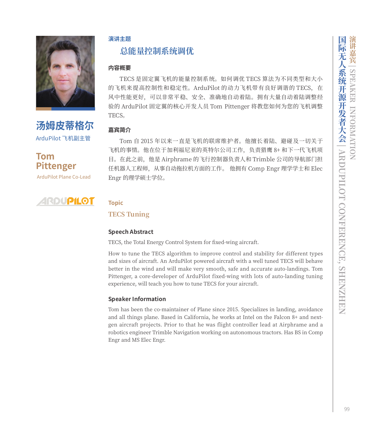

**汤姆皮蒂格尔** ArduPilot 飞机副主管



ArduPilot Plane Co-Lead



#### **演讲主题**

## **总能量控制系统调优**

#### **内容概要**

TECS 是固定翼飞机的能量控制系统。如何调优 TECS 算法为不同类型和大小 的飞机来提高控制性和稳定性。ArduPilot 的动力飞机带有良好调谐的 TECS, 在 风中性能更好,可以非常平稳、安全、准确地自动着陆。拥有大量自动着陆调整经 验的 ArduPilot 固定翼的核心开发人员 Tom Pittenger 将教您如何为您的飞机调整 TECS。

#### **嘉宾简介**

Tom 自 2015 年以来一直是飞机的联席维护者。他擅长着陆、避碰及一切关于 飞机的事情。他在位于加利福尼亚的英特尔公司工作,负责猎鹰 8+ 和下一代飞机项 目。在此之前,他是 Airphrame 的飞行控制器负责人和 Trimble 公司的导航部门担 任机器人工程师,从事自动拖拉机方面的工作。 他拥有 Comp Engr 理学学士和 Elec Engr 的理学硕士学位。

#### **Topic**

#### **TECS Tuning**

#### **Speech Abstract**

TECS, the Total Energy Control System for fixed-wing aircraft.

How to tune the TECS algorithm to improve control and stability for different types and sizes of aircraft. An ArduPilot powered aircraft with a well tuned TECS will behave better in the wind and will make very smooth, safe and accurate auto-landings. Tom Pittenger, a core-developer of ArduPilot fixed-wing with lots of auto-landing tuning experience, will teach you how to tune TECS for your aircraft.

#### **Speaker Information**

Tom has been the co-maintainer of Plane since 2015. Specializes in landing, avoidance and all things plane. Based in California, he works at Intel on the Falcon 8+ and nextgen aircraft projects. Prior to that he was flight controller lead at Airphrame and a robotics engineer Trimble Navigation working on autonomous tractors. Has BS in Comp Engr and MS Elec Engr.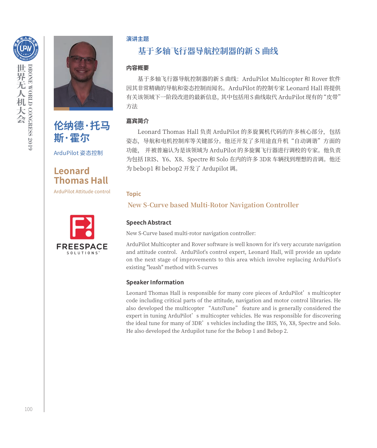



ArduPilot 姿态控制

**Leonard Thomas Hall**

ArduPilot Attitude control



#### **演讲主题**

## **基于多轴飞行器导航控制器的新 S 曲线**

#### **内容概要**

基于多轴飞行器导航控制器的新 S 曲线:ArduPilot Multicopter 和 Rover 软件 因其非常精确的导航和姿态控制而闻名。ArduPilot 的控制专家 Leonard Hall 将提供 有关该领域下一阶段改进的最新信息,其中包括用 S 曲线取代 ArduPilot 现有的"皮带" 方法

#### **嘉宾简介**

Leonard Thomas Hall 负责 ArduPilot 的多旋翼机代码的许多核心部分,包括 姿态,导航和电机控制库等关键部分。他还开发了多用途直升机"自动调谐"方面的 功能, 并被普遍认为是该领域为 ArduPilot 的多旋翼飞行器进行调校的专家。他负责 为包括 IRIS、Y6、X8、Spectre 和 Solo 在内的许多 3DR 车辆找到理想的音调。他还 为 bebop1 和 bebop2 开发了 Ardupilot 调。

#### **Topic**

#### **New S-Curve based Multi-Rotor Navigation Controller**

#### **Speech Abstract**

New S-Curve based multi-rotor navigation controller:

ArduPilot Multicopter and Rover software is well known for it's very accurate navigation and attitude control. ArduPilot's control expert, Leonard Hall, will provide an update on the next stage of improvements to this area which involve replacing ArduPilot's existing "leash" method with S-curves

#### **Speaker Information**

Leonard Thomas Hall is responsible for many core pieces of ArduPilot's multicopter code including critical parts of the attitude, navigation and motor control libraries. He also developed the multicopter "AutoTune" feature and is generally considered the expert in tuning ArduPilot's multicopter vehicles. He was responsible for discovering the ideal tune for many of 3DR's vehicles including the IRIS, Y6, X8, Spectre and Solo. He also developed the Ardupilot tune for the Bebop 1 and Bebop 2.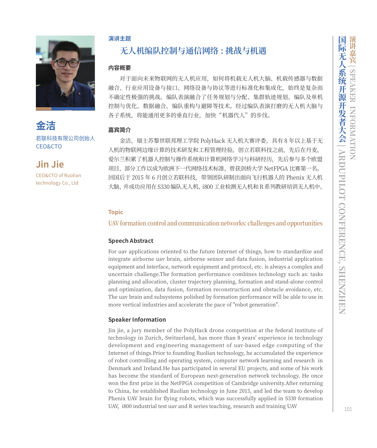**金洁** 若联科技有限公司创始人 CEO&CTO

**Jin Jie** CEO&CTO of Ruolian technology Co., Ltd

#### **演讲主题**

## **无人机编队控制与通信网络 : 挑战与机遇**

#### **内容概要**

对于面向未来物联网的无人机应用,如何将机载无人机大脑、机载传感器与数据 融合、行业应用设备与接口、网络设备与协议等进行标准化和集成化,始终是复杂而 不确定性极强的挑战。编队表演融合了任务规划与分配、集群轨迹规划、编队及单机 控制与优化、数据融合、编队重构与避障等技术。经过编队表演打磨的无人机大脑与 各子系统,将能通用更多的垂直行业,加快"机器代人"的步伐。

#### **嘉宾简介**

金洁,瑞士苏黎世联邦理工学院 PolyHack 无人机大赛评委,具有 8 年以上基于无 人机的物联网边缘计算的技术研发和工程管理经验。创立若联科技之前,先后在丹麦、 爱尔兰积累了机器人控制与操作系统和计算机网络学习与科研经历,先后参与多个欧盟 项目,部分工作以成为欧洲下一代网络技术标准,曾获剑桥大学 NetFPGA 比赛第一名。 回国后于 2015 年 6 月创立若联科技,带领团队研制出面向飞行机器人的 Phenix 无人机 大脑,并成功应用在 S330 编队无人机、i800 工业检测无人机和 R 系列教研培训无人机中。

#### **Topic**

#### **UAV formation control and communication networks: challenges and opportunities**

#### **Speech Abstract**

For uav applications oriented to the future Internet of things, how to standardize and integrate airborne uav brain, airborne sensor and data fusion, industrial application equipment and interface, network equipment and protocol, etc. is always a complex and uncertain challenge.The formation performance combines technology such as: tasks planning and allocation, cluster trajectory planning, formation and stand-alone control and optimization, data fusion, formation reconstruction and obstacle avoidance, etc. The uav brain and subsystems polished by formation performance will be able to use in more vertical industries and accelerate the pace of "robot generation".

#### **Speaker Information**

Jin jie, a jury member of the PolyHack drone competition at the federal institute of technology in Zurich, Switzerland, has more than 8 years' experience in technology development and engineering management of uav-based edge computing of the Internet of things.Prior to founding Ruolian technology, he accumulated the experience of robot controlling and operating system, computer network learning and research in Denmark and Ireland.He has participated in several EU projects, and some of his work has become the standard of European next-generation network technology. He once won the first prize in the NetFPGA competition of Cambridge university.After returning to China, he established Ruolian technology in June 2015, and led the team to develop Phenix UAV brain for flying robots, which was successfully applied in S330 formation UAV, i800 industrial test uav and R series teaching, research and training UAV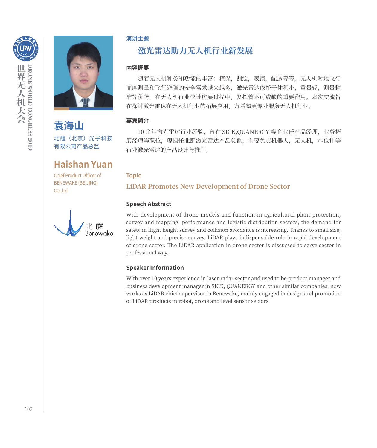



**袁海山** 北醒(北京)光子科技 有限公司产品总监

## **Haishan Yuan**

Chief Product Officer of BENEWAKE (BEIJING) CO.,ltd.



#### **演讲主题**

## **激光雷达助力无人机行业新发展**

#### **内容概要**

随着无人机种类和功能的丰富:植保,测绘,表演,配送等等,无人机对地飞行 高度测量和飞行避障的安全需求越来越多,激光雷达依托于体积小,重量轻,测量精 准等优势,在无人机行业快速房展过程中,发挥着不可或缺的重要作用。本次交流旨 在探讨激光雷达在无人机行业的拓展应用,寄希望更专业服务无人机行业。

#### **嘉宾简介**

10 余年激光雷达行业经验,曾在 SICK,QUANERGY 等企业任产品经理,业务拓 展经理等职位,现担任北醒激光雷达产品总监,主要负责机器人,无人机,料位计等 行业激光雷达的产品设计与推广。

#### **Topic**

**LiDAR Promotes New Development of Drone Sector**

#### **Speech Abstract**

With development of drone models and function in agricultural plant protection, survey and mapping, performance and logistic distribution sectors, the demand for safety in flight height survey and collision avoidance is increasing. Thanks to small size, light weight and precise survey, LiDAR plays indispensable role in rapid development of drone sector. The LiDAR application in drone sector is discussed to serve sector in professional way.

#### **Speaker Information**

With over 10 years experience in laser radar sector and used to be product manager and business development manager in SICK, QUANERGY and other similar companies, now works as LiDAR chief supervisor in Benewake, mainly engaged in design and promotion of LiDAR products in robot, drone and level sensor sectors.